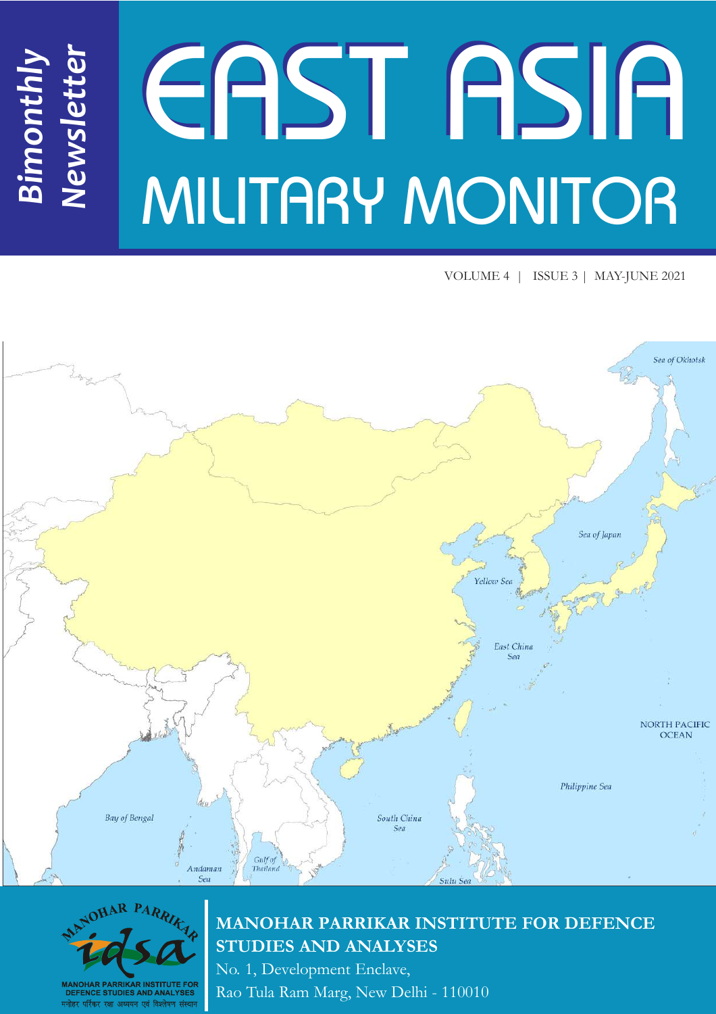# EAST ASIA MILITARY MONITOR *Newsletter*

VOLUME 4 | ISSUE 3 | MAY-JUNE 2021





*Bimonthly*

## **MANOHAR PARRIKAR INSTITUTE FOR DEFENCE STUDIES AND ANALYSES**

No. 1, Development Enclave, Rao Tula Ram Marg, New Delhi - 110010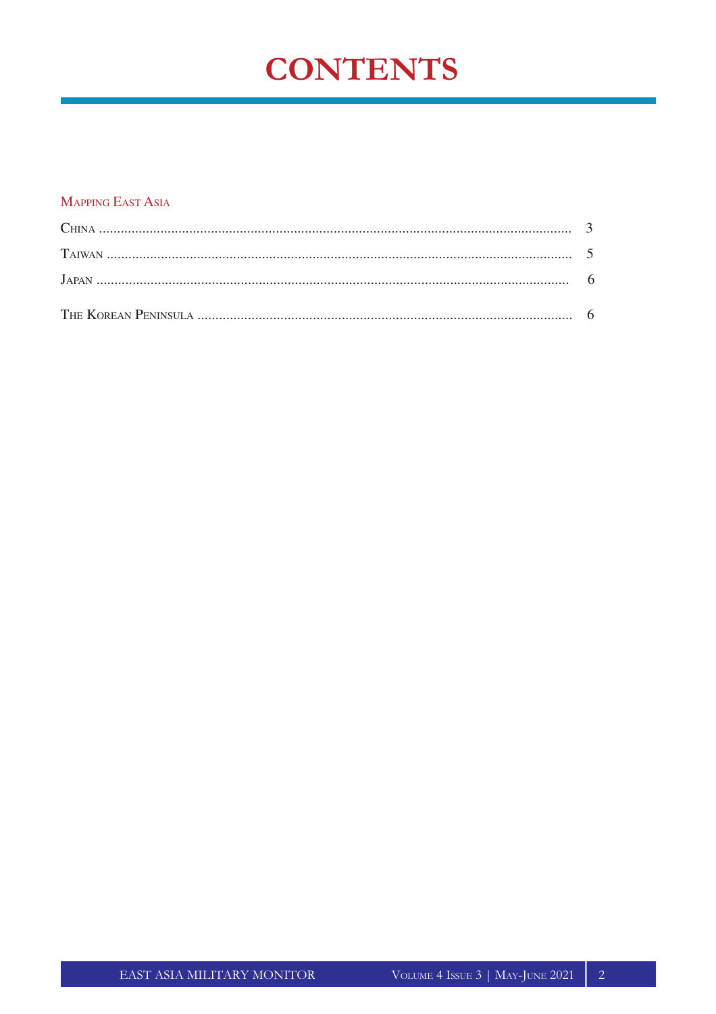# **CONTENTS**

#### **MAPPING EAST ASIA**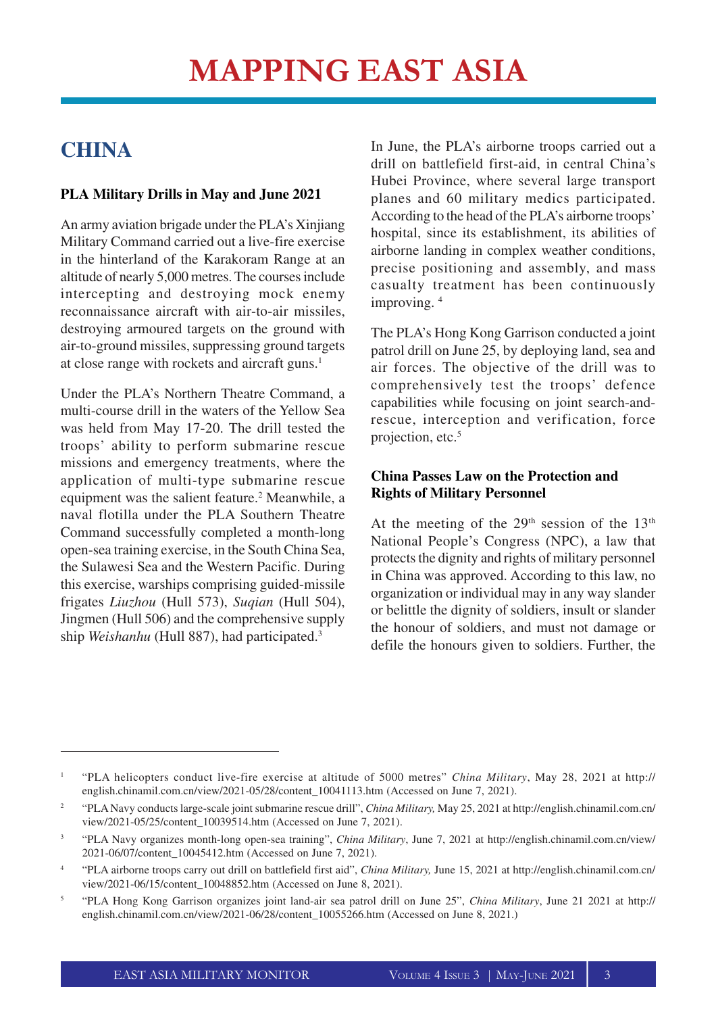# **CHINA**

#### **PLA Military Drills in May and June 2021**

An army aviation brigade under the PLA's Xinjiang Military Command carried out a live-fire exercise in the hinterland of the Karakoram Range at an altitude of nearly 5,000 metres. The courses include intercepting and destroying mock enemy reconnaissance aircraft with air-to-air missiles, destroying armoured targets on the ground with air-to-ground missiles, suppressing ground targets at close range with rockets and aircraft guns.<sup>1</sup>

Under the PLA's Northern Theatre Command, a multi-course drill in the waters of the Yellow Sea was held from May 17-20. The drill tested the troops' ability to perform submarine rescue missions and emergency treatments, where the application of multi-type submarine rescue equipment was the salient feature.<sup>2</sup> Meanwhile, a naval flotilla under the PLA Southern Theatre Command successfully completed a month-long open-sea training exercise, in the South China Sea, the Sulawesi Sea and the Western Pacific. During this exercise, warships comprising guided-missile frigates *Liuzhou* (Hull 573), *Suqian* (Hull 504), Jingmen (Hull 506) and the comprehensive supply ship *Weishanhu* (Hull 887), had participated.<sup>3</sup>

In June, the PLA's airborne troops carried out a drill on battlefield first-aid, in central China's Hubei Province, where several large transport planes and 60 military medics participated. According to the head of the PLA's airborne troops' hospital, since its establishment, its abilities of airborne landing in complex weather conditions, precise positioning and assembly, and mass casualty treatment has been continuously improving.<sup>4</sup>

The PLA's Hong Kong Garrison conducted a joint patrol drill on June 25, by deploying land, sea and air forces. The objective of the drill was to comprehensively test the troops' defence capabilities while focusing on joint search-andrescue, interception and verification, force projection, etc.<sup>5</sup>

#### **China Passes Law on the Protection and Rights of Military Personnel**

At the meeting of the  $29<sup>th</sup>$  session of the  $13<sup>th</sup>$ National People's Congress (NPC), a law that protects the dignity and rights of military personnel in China was approved. According to this law, no organization or individual may in any way slander or belittle the dignity of soldiers, insult or slander the honour of soldiers, and must not damage or defile the honours given to soldiers. Further, the

<sup>1</sup> "PLA helicopters conduct live-fire exercise at altitude of 5000 metres" *China Military*, May 28, 2021 at http:// english.chinamil.com.cn/view/2021-05/28/content\_10041113.htm (Accessed on June 7, 2021).

<sup>2</sup> "PLA Navy conducts large-scale joint submarine rescue drill", *China Military,* May 25, 2021 at http://english.chinamil.com.cn/ view/2021-05/25/content\_10039514.htm (Accessed on June 7, 2021).

<sup>3</sup> "PLA Navy organizes month-long open-sea training", *China Military*, June 7, 2021 at http://english.chinamil.com.cn/view/ 2021-06/07/content\_10045412.htm (Accessed on June 7, 2021).

<sup>4</sup> "PLA airborne troops carry out drill on battlefield first aid", *China Military,* June 15, 2021 at http://english.chinamil.com.cn/ view/2021-06/15/content\_10048852.htm (Accessed on June 8, 2021).

<sup>5</sup> "PLA Hong Kong Garrison organizes joint land-air sea patrol drill on June 25", *China Military*, June 21 2021 at http:// english.chinamil.com.cn/view/2021-06/28/content\_10055266.htm (Accessed on June 8, 2021.)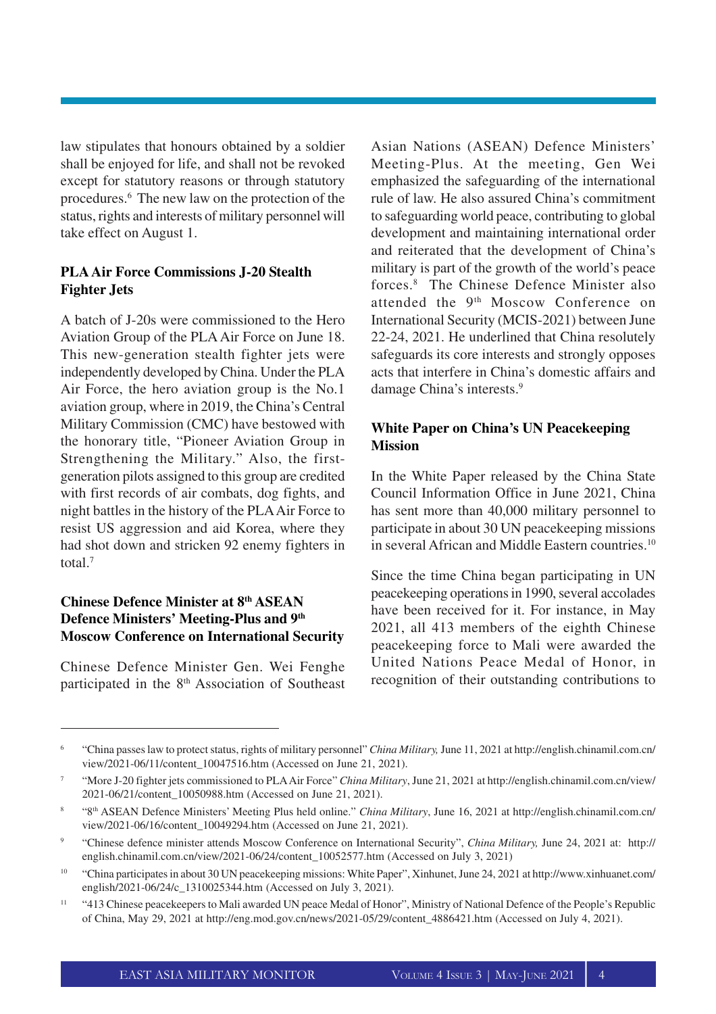law stipulates that honours obtained by a soldier shall be enjoyed for life, and shall not be revoked except for statutory reasons or through statutory procedures.<sup>6</sup> The new law on the protection of the status, rights and interests of military personnel will take effect on August 1.

#### **PLAAir Force Commissions J-20 Stealth Fighter Jets**

A batch of J-20s were commissioned to the Hero Aviation Group of the PLAAir Force on June 18. This new-generation stealth fighter jets were independently developed by China. Under the PLA Air Force, the hero aviation group is the No.1 aviation group, where in 2019, the China's Central Military Commission (CMC) have bestowed with the honorary title, "Pioneer Aviation Group in Strengthening the Military." Also, the firstgeneration pilots assigned to this group are credited with first records of air combats, dog fights, and night battles in the history of the PLAAir Force to resist US aggression and aid Korea, where they had shot down and stricken 92 enemy fighters in total<sup>7</sup>

#### **Chinese Defence Minister at 8th ASEAN Defence Ministers' Meeting-Plus and 9th Moscow Conference on International Security**

Chinese Defence Minister Gen. Wei Fenghe participated in the 8<sup>th</sup> Association of Southeast

Asian Nations (ASEAN) Defence Ministers' Meeting-Plus. At the meeting, Gen Wei emphasized the safeguarding of the international rule of law. He also assured China's commitment to safeguarding world peace, contributing to global development and maintaining international order and reiterated that the development of China's military is part of the growth of the world's peace forces.<sup>8</sup> The Chinese Defence Minister also attended the 9th Moscow Conference on International Security (MCIS-2021) between June 22-24, 2021. He underlined that China resolutely safeguards its core interests and strongly opposes acts that interfere in China's domestic affairs and damage China's interests.<sup>9</sup>

#### **White Paper on China's UN Peacekeeping Mission**

In the White Paper released by the China State Council Information Office in June 2021, China has sent more than 40,000 military personnel to participate in about 30 UN peacekeeping missions in several African and Middle Eastern countries.<sup>10</sup>

Since the time China began participating in UN peacekeeping operations in 1990, several accolades have been received for it. For instance, in May 2021, all 413 members of the eighth Chinese peacekeeping force to Mali were awarded the United Nations Peace Medal of Honor, in recognition of their outstanding contributions to

<sup>6</sup> "China passes law to protect status, rights of military personnel" *China Military,* June 11, 2021 at http://english.chinamil.com.cn/ view/2021-06/11/content\_10047516.htm (Accessed on June 21, 2021).

<sup>7</sup> "More J-20 fighter jets commissioned to PLAAir Force" *China Military*, June 21, 2021 at http://english.chinamil.com.cn/view/ 2021-06/21/content\_10050988.htm (Accessed on June 21, 2021).

<sup>8</sup> "8th ASEAN Defence Ministers' Meeting Plus held online." *China Military*, June 16, 2021 at http://english.chinamil.com.cn/ view/2021-06/16/content\_10049294.htm (Accessed on June 21, 2021).

<sup>9</sup> "Chinese defence minister attends Moscow Conference on International Security", *China Military,* June 24, 2021 at: http:// english.chinamil.com.cn/view/2021-06/24/content\_10052577.htm (Accessed on July 3, 2021)

<sup>&</sup>lt;sup>10</sup> "China participates in about 30 UN peacekeeping missions: White Paper", Xinhunet, June 24, 2021 at http://www.xinhuanet.com/ english/2021-06/24/c\_1310025344.htm (Accessed on July 3, 2021).

<sup>&</sup>lt;sup>11</sup> "413 Chinese peacekeepers to Mali awarded UN peace Medal of Honor", Ministry of National Defence of the People's Republic of China, May 29, 2021 at http://eng.mod.gov.cn/news/2021-05/29/content\_4886421.htm (Accessed on July 4, 2021).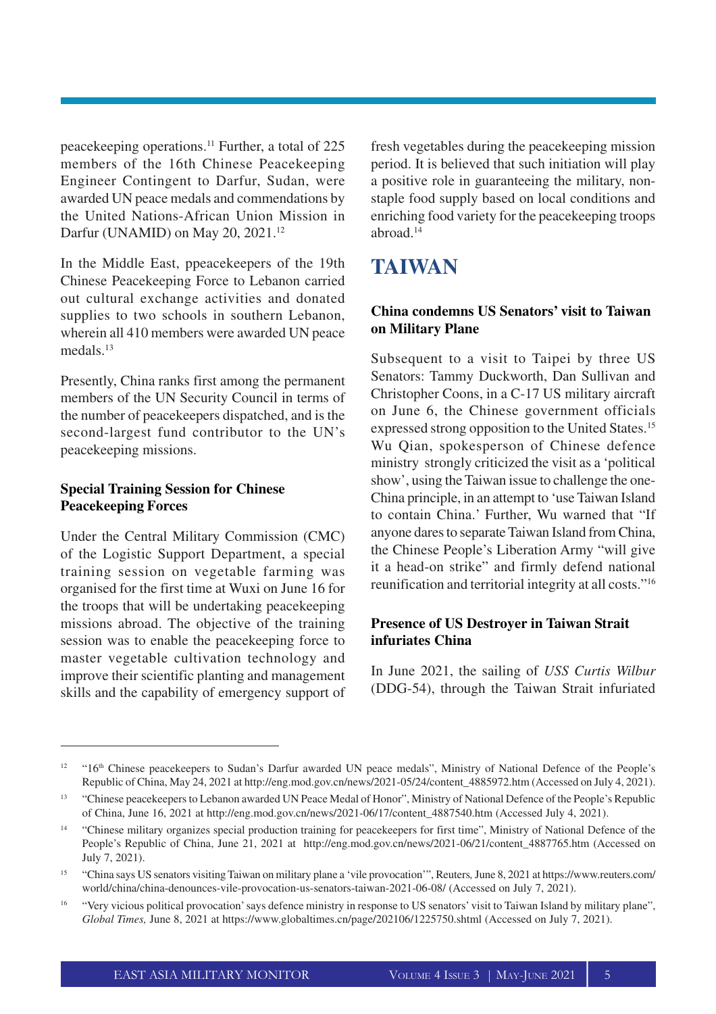peacekeeping operations.<sup>11</sup> Further, a total of 225 members of the 16th Chinese Peacekeeping Engineer Contingent to Darfur, Sudan, were awarded UN peace medals and commendations by the United Nations-African Union Mission in Darfur (UNAMID) on May 20, 2021.<sup>12</sup>

In the Middle East, ppeacekeepers of the 19th Chinese Peacekeeping Force to Lebanon carried out cultural exchange activities and donated supplies to two schools in southern Lebanon, wherein all 410 members were awarded UN peace medals.<sup>13</sup>

Presently, China ranks first among the permanent members of the UN Security Council in terms of the number of peacekeepers dispatched, and is the second-largest fund contributor to the UN's peacekeeping missions.

#### **Special Training Session for Chinese Peacekeeping Forces**

Under the Central Military Commission (CMC) of the Logistic Support Department, a special training session on vegetable farming was organised for the first time at Wuxi on June 16 for the troops that will be undertaking peacekeeping missions abroad. The objective of the training session was to enable the peacekeeping force to master vegetable cultivation technology and improve their scientific planting and management skills and the capability of emergency support of fresh vegetables during the peacekeeping mission period. It is believed that such initiation will play a positive role in guaranteeing the military, nonstaple food supply based on local conditions and enriching food variety for the peacekeeping troops abroad.<sup>14</sup>

## **TAIWAN**

#### **China condemns US Senators' visit to Taiwan on Military Plane**

Subsequent to a visit to Taipei by three US Senators: Tammy Duckworth, Dan Sullivan and Christopher Coons, in a C-17 US military aircraft on June 6, the Chinese government officials expressed strong opposition to the United States.<sup>15</sup> Wu Qian, spokesperson of Chinese defence ministry strongly criticized the visit as a 'political show', using the Taiwan issue to challenge the one-China principle, in an attempt to 'use Taiwan Island to contain China.' Further, Wu warned that "If anyone dares to separate Taiwan Island from China, the Chinese People's Liberation Army "will give it a head-on strike" and firmly defend national reunification and territorial integrity at all costs."<sup>16</sup>

#### **Presence of US Destroyer in Taiwan Strait infuriates China**

In June 2021, the sailing of *USS Curtis Wilbur* (DDG-54), through the Taiwan Strait infuriated

<sup>&</sup>lt;sup>12</sup> "16<sup>th</sup> Chinese peacekeepers to Sudan's Darfur awarded UN peace medals", Ministry of National Defence of the People's Republic of China, May 24, 2021 at http://eng.mod.gov.cn/news/2021-05/24/content\_4885972.htm (Accessed on July 4, 2021).

<sup>&</sup>lt;sup>13</sup> "Chinese peacekeepers to Lebanon awarded UN Peace Medal of Honor", Ministry of National Defence of the People's Republic of China, June 16, 2021 at http://eng.mod.gov.cn/news/2021-06/17/content\_4887540.htm (Accessed July 4, 2021).

<sup>&</sup>lt;sup>14</sup> "Chinese military organizes special production training for peacekeepers for first time", Ministry of National Defence of the People's Republic of China, June 21, 2021 at http://eng.mod.gov.cn/news/2021-06/21/content\_4887765.htm (Accessed on July 7, 2021).

<sup>15</sup> "China says US senators visiting Taiwan on military plane a 'vile provocation'", Reuters*,* June 8, 2021 at https://www.reuters.com/ world/china/china-denounces-vile-provocation-us-senators-taiwan-2021-06-08/ (Accessed on July 7, 2021).

<sup>&</sup>lt;sup>16</sup> "Very vicious political provocation' says defence ministry in response to US senators' visit to Taiwan Island by military plane", *Global Times,* June 8, 2021 at https://www.globaltimes.cn/page/202106/1225750.shtml (Accessed on July 7, 2021).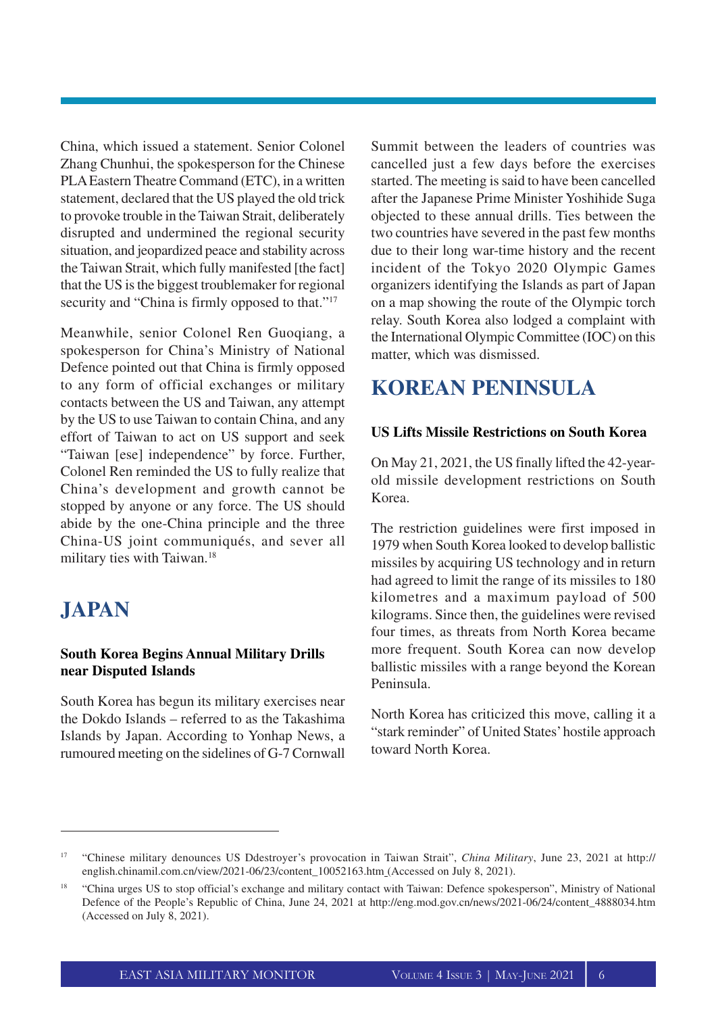China, which issued a statement. Senior Colonel Zhang Chunhui, the spokesperson for the Chinese PLA Eastern Theatre Command (ETC), in a written statement, declared that the US played the old trick to provoke trouble in the Taiwan Strait, deliberately disrupted and undermined the regional security situation, and jeopardized peace and stability across the Taiwan Strait, which fully manifested [the fact] that the US is the biggest troublemaker for regional security and "China is firmly opposed to that."<sup>17</sup>

Meanwhile, senior Colonel Ren Guoqiang, a spokesperson for China's Ministry of National Defence pointed out that China is firmly opposed to any form of official exchanges or military contacts between the US and Taiwan, any attempt by the US to use Taiwan to contain China, and any effort of Taiwan to act on US support and seek "Taiwan [ese] independence" by force. Further, Colonel Ren reminded the US to fully realize that China's development and growth cannot be stopped by anyone or any force. The US should abide by the one-China principle and the three China-US joint communiqués, and sever all military ties with Taiwan.<sup>18</sup>

## **JAPAN**

#### **South Korea Begins Annual Military Drills near Disputed Islands**

South Korea has begun its military exercises near the Dokdo Islands – referred to as the Takashima Islands by Japan. According to Yonhap News, a rumoured meeting on the sidelines of G-7 Cornwall

Summit between the leaders of countries was cancelled just a few days before the exercises started. The meeting is said to have been cancelled after the Japanese Prime Minister Yoshihide Suga objected to these annual drills. Ties between the two countries have severed in the past few months due to their long war-time history and the recent incident of the Tokyo 2020 Olympic Games organizers identifying the Islands as part of Japan on a map showing the route of the Olympic torch relay. South Korea also lodged a complaint with the International Olympic Committee (IOC) on this matter, which was dismissed.

# **KOREAN PENINSULA**

#### **US Lifts Missile Restrictions on South Korea**

On May 21, 2021, the US finally lifted the 42-yearold missile development restrictions on South Korea.

The restriction guidelines were first imposed in 1979 when South Korea looked to develop ballistic missiles by acquiring US technology and in return had agreed to limit the range of its missiles to 180 kilometres and a maximum payload of 500 kilograms. Since then, the guidelines were revised four times, as threats from North Korea became more frequent. South Korea can now develop ballistic missiles with a range beyond the Korean Peninsula.

North Korea has criticized this move, calling it a "stark reminder" of United States' hostile approach toward North Korea.

<sup>17</sup> "Chinese military denounces US Ddestroyer's provocation in Taiwan Strait", *China Military*, June 23, 2021 at http:// english.chinamil.com.cn/view/2021-06/23/content\_10052163.htm (Accessed on July 8, 2021).

<sup>&</sup>lt;sup>18</sup> "China urges US to stop official's exchange and military contact with Taiwan: Defence spokesperson", Ministry of National Defence of the People's Republic of China, June 24, 2021 at http://eng.mod.gov.cn/news/2021-06/24/content\_4888034.htm (Accessed on July 8, 2021).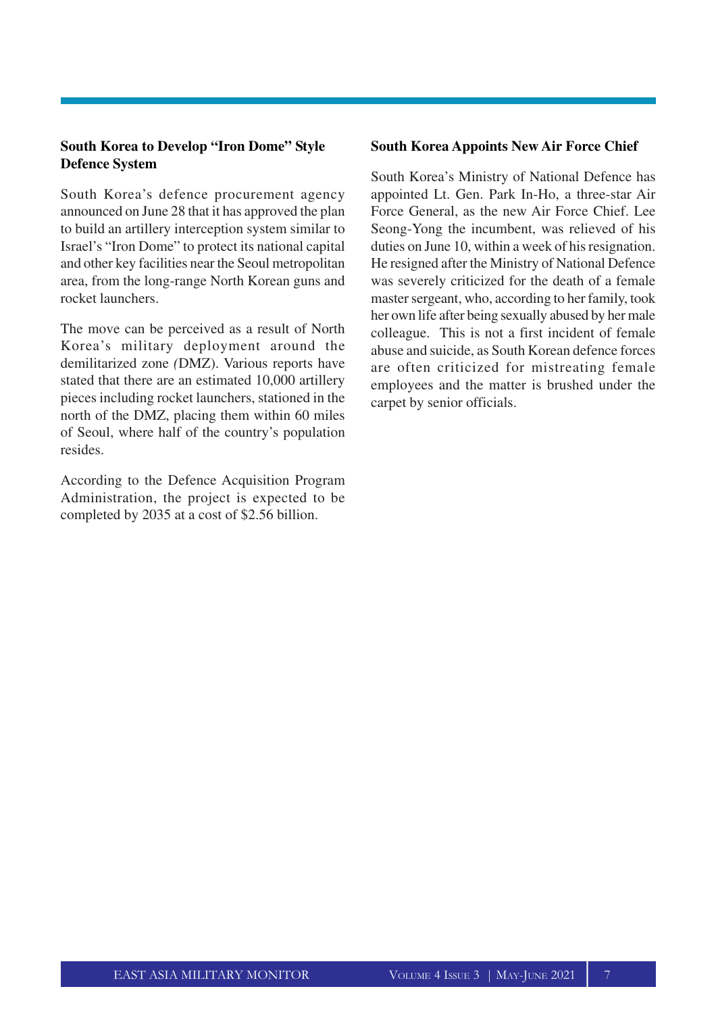#### **South Korea to Develop "Iron Dome" Style Defence System**

South Korea's defence procurement agency announced on June 28 that it has approved the plan to build an artillery interception system similar to Israel's "Iron Dome" to protect its national capital and other key facilities near the Seoul metropolitan area, from the long-range North Korean guns and rocket launchers.

The move can be perceived as a result of North Korea's military deployment around the demilitarized zone *(*DMZ). Various reports have stated that there are an estimated 10,000 artillery pieces including rocket launchers, stationed in the north of the DMZ, placing them within 60 miles of Seoul, where half of the country's population resides.

According to the Defence Acquisition Program Administration, the project is expected to be completed by 2035 at a cost of \$2.56 billion.

#### **South Korea Appoints New Air Force Chief**

South Korea's Ministry of National Defence has appointed Lt. Gen. Park In-Ho, a three-star Air Force General, as the new Air Force Chief. Lee Seong-Yong the incumbent, was relieved of his duties on June 10, within a week of his resignation. He resigned after the Ministry of National Defence was severely criticized for the death of a female master sergeant, who, according to her family, took her own life after being sexually abused by her male colleague. This is not a first incident of female abuse and suicide, as South Korean defence forces are often criticized for mistreating female employees and the matter is brushed under the carpet by senior officials.